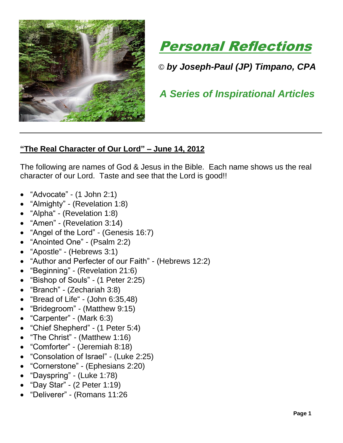



© *by Joseph-Paul (JP) Timpano, CPA*

 *A Series of Inspirational Articles*

## **"The Real Character of Our Lord" – June 14, 2012**

The following are names of God & Jesus in the Bible. Each name shows us the real character of our Lord. Taste and see that the Lord is good!!

- "Advocate" (1 John 2:1)
- "Almighty" (Revelation 1:8)
- ["Alpha"](http://christianity.about.com/od/symbolspictures/ig/Christian-Symbols-Glossary/Alpha-and-Omega.htm) (Revelation 1:8)
- "Amen" (Revelation 3:14)
- "Angel of the Lord" (Genesis 16:7)
- "Anointed One" (Psalm 2:2)
- ["Apostle"](http://christianity.about.com/od/glossary/a/Apostle.htm) [\(Hebrews](http://christianity.about.com/od/newtestamentbooks/a/Book-Of-Hebrews.htm) 3:1)
- "Author and Perfecter of our Faith" (Hebrews 12:2)
- "Beginning" (Revelation 21:6)
- "Bishop of Souls" (1 Peter 2:25)
- "Branch" (Zechariah 3:8)
- ["Bread of Life"](http://christianity.about.com/od/symbolspictures/ig/Christian-Symbols-Glossary/Bread-and-Wine.htm) (John 6:35,48)
- "Bridegroom" (Matthew 9:15)
- "Carpenter" (Mark 6:3)
- "Chief Shepherd" (1 Peter 5:4)
- "The Christ" (Matthew 1:16)
- "Comforter" (Jeremiah 8:18)
- "Consolation of Israel" (Luke 2:25)
- "Cornerstone" (Ephesians 2:20)
- "Dayspring" (Luke 1:78)
- "Day Star" (2 Peter 1:19)
- "Deliverer" (Romans 11:26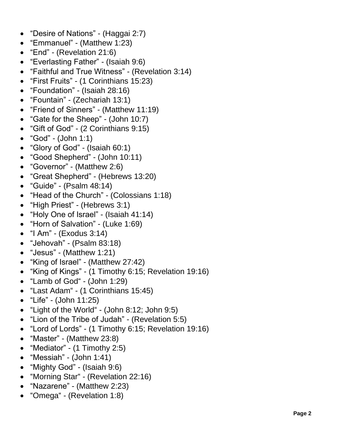- "Desire of Nations" (Haggai 2:7)
- "Emmanuel" (Matthew 1:23)
- "End" (Revelation 21:6)
- "Everlasting Father" (Isaiah 9:6)
- "Faithful and True Witness" (Revelation 3:14)
- "First Fruits" (1 Corinthians 15:23)
- "Foundation" (Isaiah 28:16)
- "Fountain" (Zechariah 13:1)
- "Friend of Sinners" (Matthew 11:19)
- "Gate for the Sheep" (John 10:7)
- "Gift of God" (2 Corinthians 9:15)
- "God" (John 1:1)
- "Glory of God" (Isaiah 60:1)
- "Good Shepherd" (John 10:11)
- "Governor" (Matthew 2:6)
- "Great Shepherd" (Hebrews 13:20)
- "Guide" (Psalm 48:14)
- "Head of the Church" (Colossians 1:18)
- "High Priest" (Hebrews 3:1)
- "Holy One of Israel" (Isaiah 41:14)
- "Horn of Salvation" (Luke 1:69)
- "I Am" (Exodus 3:14)
- "Jehovah" (Psalm 83:18)
- "Jesus" (Matthew 1:21)
- "King of Israel" (Matthew 27:42)
- "King of Kings" (1 Timothy 6:15; Revelation 19:16)
- ["Lamb of God"](http://christianity.about.com/od/symbolspictures/ig/Christian-Symbols-Glossary/Christian-Lamb-of-God.htm) - (John 1:29)
- ["Last Adam"](http://christianity.about.com/od/oldtestamentpeople/p/adamprofile.htm) - (1 Corinthians 15:45)
- "Life" (John 11:25)
- ["Light of the World"](http://christianity.about.com/od/symbolspictures/ig/Christian-Symbols-Glossary/Light-of-the-World.htm) - (John 8:12; John 9:5)
- "Lion of the Tribe of Judah" (Revelation 5:5)
- "Lord of Lords" (1 Timothy 6:15; Revelation 19:16)
- "Master" (Matthew 23:8)
- "Mediator" (1 Timothy 2:5)
- "Messiah" (John 1:41)
- "Mighty God" (Isaiah 9:6)
- ["Morning Star"](http://christianity.about.com/od/symbolspictures/ig/Christian-Symbols-Glossary/Christian-Stars.htm) - (Revelation 22:16)
- "Nazarene" (Matthew 2:23)
- ["Omega"](http://christianity.about.com/od/symbolspictures/ig/Christian-Symbols-Glossary/Alpha-and-Omega.htm) (Revelation 1:8)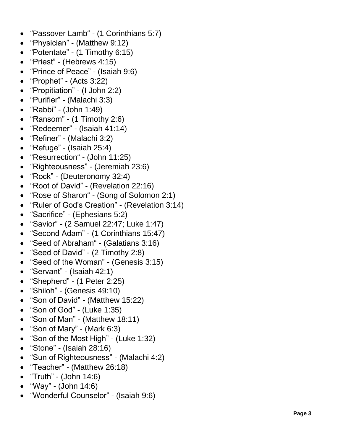- $\bullet$ ["Passover Lamb"](http://christianity.about.com/od/symbolspictures/ig/Christian-Symbols-Glossary/Christian-Lamb-of-God.htm) - (1 Corinthians 5:7)
- "Physician" (Matthew 9:12)
- "Potentate" (1 Timothy 6:15)
- "Priest" (Hebrews 4:15)
- "Prince of Peace" (Isaiah 9:6)
- "Prophet" (Acts 3:22)
- "Propitiation" (I John 2:2)
- "Purifier" (Malachi 3:3)
- "Rabbi" (John 1:49)
- "Ransom" (1 Timothy 2:6)
- "Redeemer" (Isaiah 41:14)
- "Refiner" (Malachi 3:2)
- "Refuge" (Isaiah 25:4)
- ["Resurrection"](http://christianity.about.com/od/biblestorysummaries/p/theresurrection.htm) - (John 11:25)
- "Righteousness" (Jeremiah 23:6)
- "Rock" (Deuteronomy 32:4)
- "Root of David" (Revelation 22:16)
- ["Rose of Sharon"](http://christianity.about.com/od/biblestudyresources/a/roseofsharon.htm) - (Song of Solomon 2:1)
- "Ruler of God's Creation" (Revelation 3:14)
- "Sacrifice" (Ephesians 5:2)
- "Savior" (2 Samuel 22:47; Luke 1:47)
- "Second Adam" (1 Corinthians 15:47)
- "Seed of [Abraham"](http://christianity.about.com/od/oldtestamentpeople/p/abraham.htm) - (Galatians 3:16)
- "Seed of David" (2 Timothy 2:8)
- "Seed of the Woman" (Genesis 3:15)
- "Servant" (Isaiah 42:1)
- "Shepherd" (1 Peter 2:25)
- "Shiloh" (Genesis 49:10)
- "Son of David" (Matthew 15:22)
- "Son of God" (Luke 1:35)
- "Son of Man" (Matthew 18:11)
- "Son of Mary" (Mark 6:3)
- "Son of the Most High" (Luke 1:32)
- "Stone" (Isaiah 28:16)
- "Sun of Righteousness" (Malachi 4:2)
- "Teacher" (Matthew 26:18)
- "Truth" (John 14:6)
- "Way" (John 14:6)
- "Wonderful Counselor" (Isaiah 9:6)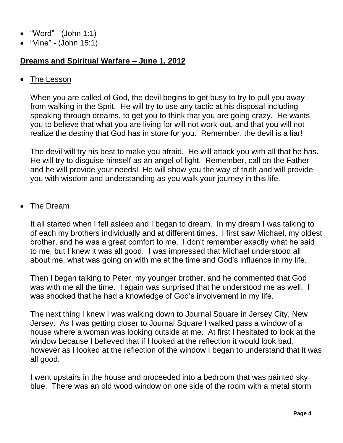- "Word" (John 1:1)
- "Vine" (John 15:1)

## **Dreams and Spiritual Warfare – June 1, 2012**

## • The Lesson

When you are called of God, the devil begins to get busy to try to pull you away from walking in the Sprit. He will try to use any tactic at his disposal including speaking through dreams, to get you to think that you are going crazy. He wants you to believe that what you are living for will not work-out, and that you will not realize the destiny that God has in store for you. Remember, the devil is a liar!

The devil will try his best to make you afraid. He will attack you with all that he has. He will try to disguise himself as an angel of light. Remember, call on the Father and he will provide your needs! He will show you the way of truth and will provide you with wisdom and understanding as you walk your journey in this life.

## • The Dream

It all started when I fell asleep and I began to dream. In my dream I was talking to of each my brothers individually and at different times. I first saw Michael, my oldest brother, and he was a great comfort to me. I don't remember exactly what he said to me, but I knew it was all good. I was impressed that Michael understood all about me, what was going on with me at the time and God's influence in my life.

Then I began talking to Peter, my younger brother, and he commented that God was with me all the time. I again was surprised that he understood me as well. I was shocked that he had a knowledge of God's involvement in my life.

The next thing I knew I was walking down to Journal Square in Jersey City, New Jersey. As I was getting closer to Journal Square I walked pass a window of a house where a woman was looking outside at me. At first I hesitated to look at the window because I believed that if I looked at the reflection it would look bad, however as I looked at the reflection of the window I began to understand that it was all good.

I went upstairs in the house and proceeded into a bedroom that was painted sky blue. There was an old wood window on one side of the room with a metal storm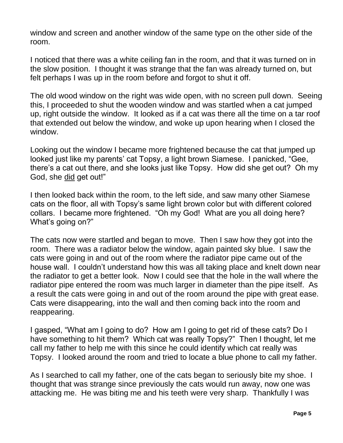window and screen and another window of the same type on the other side of the room.

I noticed that there was a white ceiling fan in the room, and that it was turned on in the slow position. I thought it was strange that the fan was already turned on, but felt perhaps I was up in the room before and forgot to shut it off.

The old wood window on the right was wide open, with no screen pull down. Seeing this, I proceeded to shut the wooden window and was startled when a cat jumped up, right outside the window. It looked as if a cat was there all the time on a tar roof that extended out below the window, and woke up upon hearing when I closed the window.

Looking out the window I became more frightened because the cat that jumped up looked just like my parents' cat Topsy, a light brown Siamese. I panicked, "Gee, there's a cat out there, and she looks just like Topsy. How did she get out? Oh my God, she did get out!"

I then looked back within the room, to the left side, and saw many other Siamese cats on the floor, all with Topsy's same light brown color but with different colored collars. I became more frightened. "Oh my God! What are you all doing here? What's going on?"

The cats now were startled and began to move. Then I saw how they got into the room. There was a radiator below the window, again painted sky blue. I saw the cats were going in and out of the room where the radiator pipe came out of the house wall. I couldn't understand how this was all taking place and knelt down near the radiator to get a better look. Now I could see that the hole in the wall where the radiator pipe entered the room was much larger in diameter than the pipe itself. As a result the cats were going in and out of the room around the pipe with great ease. Cats were disappearing, into the wall and then coming back into the room and reappearing.

I gasped, "What am I going to do? How am I going to get rid of these cats? Do I have something to hit them? Which cat was really Topsy?" Then I thought, let me call my father to help me with this since he could identify which cat really was Topsy. I looked around the room and tried to locate a blue phone to call my father.

As I searched to call my father, one of the cats began to seriously bite my shoe. I thought that was strange since previously the cats would run away, now one was attacking me. He was biting me and his teeth were very sharp. Thankfully I was